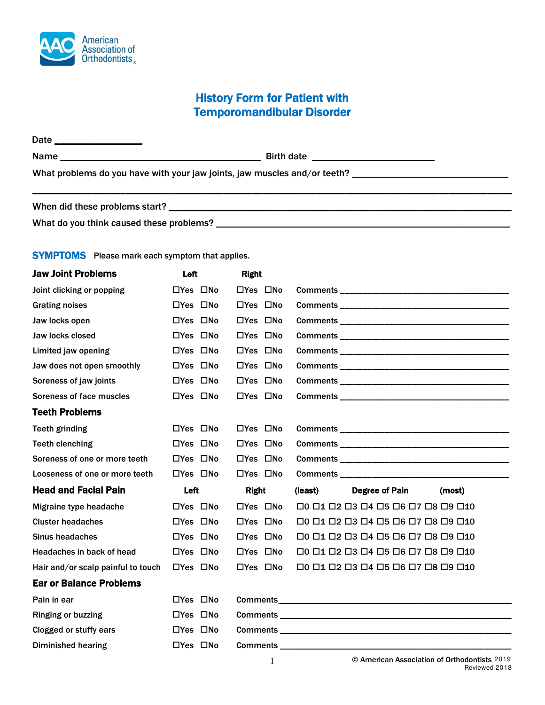

## History Form for Patient with Temporomandibular Disorder

Date \_\_\_\_\_\_\_\_\_\_\_\_\_\_\_\_\_\_ Name \_\_\_\_\_\_\_\_\_\_\_\_\_\_\_\_\_\_\_\_\_\_\_\_\_\_\_\_\_\_\_\_\_\_\_\_\_\_\_\_\_ Birth date \_\_\_\_\_\_\_\_\_\_\_\_\_\_\_\_\_\_\_\_\_\_\_\_\_ What problems do you have with your jaw joints, jaw muscles and/or teeth? \_\_\_\_\_\_\_\_\_\_\_\_\_\_\_\_\_\_\_\_\_\_\_\_\_\_\_\_\_\_\_\_

| When did these problems start?           |  |
|------------------------------------------|--|
| What do you think caused these problems? |  |

## **SYMPTOMS** Please mark each symptom that applies.

| <b>Jaw Joint Problems</b>          | Left                 | <b>Right</b>         |                                                                                                                                                                                                                                     |
|------------------------------------|----------------------|----------------------|-------------------------------------------------------------------------------------------------------------------------------------------------------------------------------------------------------------------------------------|
| Joint clicking or popping          | $\Box$ Yes $\Box$ No | $\Box$ Yes $\Box$ No | <b>Comments</b> and the comments of the comments of the comments of the comments of the comments of the comments of the comments of the comments of the comments of the comments of the comments of the comments of the comments of |
| <b>Grating noises</b>              | $\Box$ Yes $\Box$ No | $\Box$ Yes $\Box$ No |                                                                                                                                                                                                                                     |
| Jaw locks open                     | $\Box$ Yes $\Box$ No | $\Box$ Yes $\Box$ No |                                                                                                                                                                                                                                     |
| Jaw locks closed                   | $\Box$ Yes $\Box$ No | $\Box$ Yes $\Box$ No |                                                                                                                                                                                                                                     |
| Limited jaw opening                | $\Box$ Yes $\Box$ No | $\Box$ Yes $\Box$ No |                                                                                                                                                                                                                                     |
| Jaw does not open smoothly         | $\Box$ Yes $\Box$ No | $\Box$ Yes $\Box$ No |                                                                                                                                                                                                                                     |
| Soreness of jaw joints             | $\Box$ Yes $\Box$ No | $\Box$ Yes $\Box$ No |                                                                                                                                                                                                                                     |
| Soreness of face muscles           | $\Box$ Yes $\Box$ No | $\Box$ Yes $\Box$ No |                                                                                                                                                                                                                                     |
| <b>Teeth Problems</b>              |                      |                      |                                                                                                                                                                                                                                     |
| <b>Teeth grinding</b>              | $\Box$ Yes $\Box$ No | $\Box$ Yes $\Box$ No |                                                                                                                                                                                                                                     |
| <b>Teeth clenching</b>             | □Yes □No             | □Yes □No             |                                                                                                                                                                                                                                     |
| Soreness of one or more teeth      | $\Box$ Yes $\Box$ No | $\Box$ Yes $\Box$ No |                                                                                                                                                                                                                                     |
| Looseness of one or more teeth     | $\Box$ Yes $\Box$ No | $\Box$ Yes $\Box$ No |                                                                                                                                                                                                                                     |
| <b>Head and Facial Pain</b>        | Left                 | <b>Right</b>         | (least)<br><b>Degree of Pain</b><br>(most)                                                                                                                                                                                          |
| Migraine type headache             | $\Box$ Yes $\Box$ No | $\Box$ Yes $\Box$ No | $\Box$ 0 $\Box$ 1 $\Box$ 2 $\Box$ 3 $\Box$ 4 $\Box$ 5 $\Box$ 6 $\Box$ 7 $\Box$ 8 $\Box$ 9 $\Box$ 10                                                                                                                                 |
| <b>Cluster headaches</b>           | $\Box$ Yes $\Box$ No |                      |                                                                                                                                                                                                                                     |
|                                    |                      | $\Box$ Yes $\Box$ No | $\Box 0 \Box 1 \Box 2 \Box 3 \Box 4 \Box 5 \Box 6 \Box 7 \Box 8 \Box 9 \Box 10$                                                                                                                                                     |
| <b>Sinus headaches</b>             | $\Box$ Yes $\Box$ No | $\Box$ Yes $\Box$ No | □0 □1 □2 □3 □4 □5 □6 □7 □8 □9 □10                                                                                                                                                                                                   |
| Headaches in back of head          | $\Box$ Yes $\Box$ No | $\Box$ Yes $\Box$ No | $\Box 0 \Box 1 \Box 2 \Box 3 \Box 4 \Box 5 \Box 6 \Box 7 \Box 8 \Box 9 \Box 10$                                                                                                                                                     |
| Hair and/or scalp painful to touch | $\Box$ Yes $\Box$ No | $\Box$ Yes $\Box$ No | $\Box 0 \Box 1 \Box 2 \Box 3 \Box 4 \Box 5 \Box 6 \Box 7 \Box 8 \Box 9 \Box 10$                                                                                                                                                     |
| <b>Ear or Balance Problems</b>     |                      |                      |                                                                                                                                                                                                                                     |
| Pain in ear                        | $\Box$ Yes $\Box$ No |                      |                                                                                                                                                                                                                                     |
| <b>Ringing or buzzing</b>          | $\Box$ Yes $\Box$ No |                      |                                                                                                                                                                                                                                     |
| Clogged or stuffy ears             | $\Box$ Yes $\Box$ No |                      |                                                                                                                                                                                                                                     |
| <b>Diminished hearing</b>          | $\Box$ Yes $\Box$ No |                      |                                                                                                                                                                                                                                     |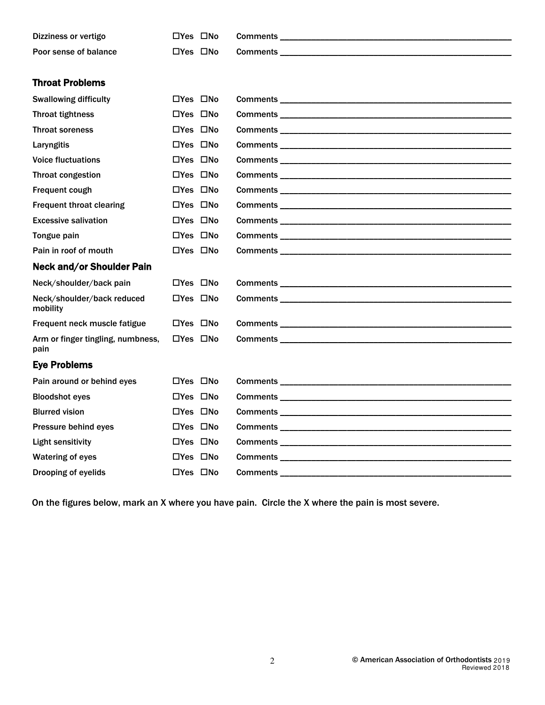| Dizziness or vertigo                      | $\Box$ Yes $\Box$ No |                                                                                                                                                                                                                                     |
|-------------------------------------------|----------------------|-------------------------------------------------------------------------------------------------------------------------------------------------------------------------------------------------------------------------------------|
| Poor sense of balance                     | $\Box$ Yes $\Box$ No |                                                                                                                                                                                                                                     |
|                                           |                      |                                                                                                                                                                                                                                     |
| <b>Throat Problems</b>                    |                      |                                                                                                                                                                                                                                     |
| <b>Swallowing difficulty</b>              | $\Box$ Yes $\Box$ No |                                                                                                                                                                                                                                     |
| <b>Throat tightness</b>                   | $\Box$ Yes $\Box$ No | <b>Comments</b> and the comments of the comments of the comments of the comments of the comments of the comments of the comments of the comments of the comments of the comments of the comments of the comments of the comments of |
| <b>Throat soreness</b>                    | $\Box$ Yes $\Box$ No |                                                                                                                                                                                                                                     |
| Laryngitis                                | $\Box$ Yes $\Box$ No |                                                                                                                                                                                                                                     |
| <b>Voice fluctuations</b>                 | $\Box$ Yes $\Box$ No |                                                                                                                                                                                                                                     |
| Throat congestion                         | $\Box$ Yes $\Box$ No |                                                                                                                                                                                                                                     |
| Frequent cough                            | $\Box$ Yes $\Box$ No |                                                                                                                                                                                                                                     |
| <b>Frequent throat clearing</b>           | $\Box$ Yes $\Box$ No |                                                                                                                                                                                                                                     |
| <b>Excessive salivation</b>               | $\Box$ Yes $\Box$ No |                                                                                                                                                                                                                                     |
| Tongue pain                               | $\Box$ Yes $\Box$ No |                                                                                                                                                                                                                                     |
| Pain in roof of mouth                     | $\Box$ Yes $\Box$ No |                                                                                                                                                                                                                                     |
| <b>Neck and/or Shoulder Pain</b>          |                      |                                                                                                                                                                                                                                     |
| Neck/shoulder/back pain                   | $\Box$ Yes $\Box$ No | <b>Comments</b> and the comments of the comments of the comments of the comments of the comments of the comments of the comments of the comments of the comments of the comments of the comments of the comments of the comments of |
| Neck/shoulder/back reduced<br>mobility    | $\Box$ Yes $\Box$ No |                                                                                                                                                                                                                                     |
| Frequent neck muscle fatigue              | $\Box$ Yes $\Box$ No |                                                                                                                                                                                                                                     |
| Arm or finger tingling, numbness,<br>pain | □Yes □No             |                                                                                                                                                                                                                                     |
| <b>Eye Problems</b>                       |                      |                                                                                                                                                                                                                                     |
| Pain around or behind eyes                | $\Box$ Yes $\Box$ No |                                                                                                                                                                                                                                     |
| <b>Bloodshot eyes</b>                     | $\Box$ Yes $\Box$ No |                                                                                                                                                                                                                                     |
| <b>Blurred vision</b>                     | $\Box$ Yes $\Box$ No |                                                                                                                                                                                                                                     |
| Pressure behind eyes                      | $\Box$ Yes $\Box$ No |                                                                                                                                                                                                                                     |
| <b>Light sensitivity</b>                  | $\Box$ Yes $\Box$ No |                                                                                                                                                                                                                                     |
| <b>Watering of eyes</b>                   | $\Box$ Yes $\Box$ No |                                                                                                                                                                                                                                     |
| Drooping of eyelids                       | $\Box$ Yes $\Box$ No |                                                                                                                                                                                                                                     |

On the figures below, mark an X where you have pain. Circle the X where the pain is most severe.